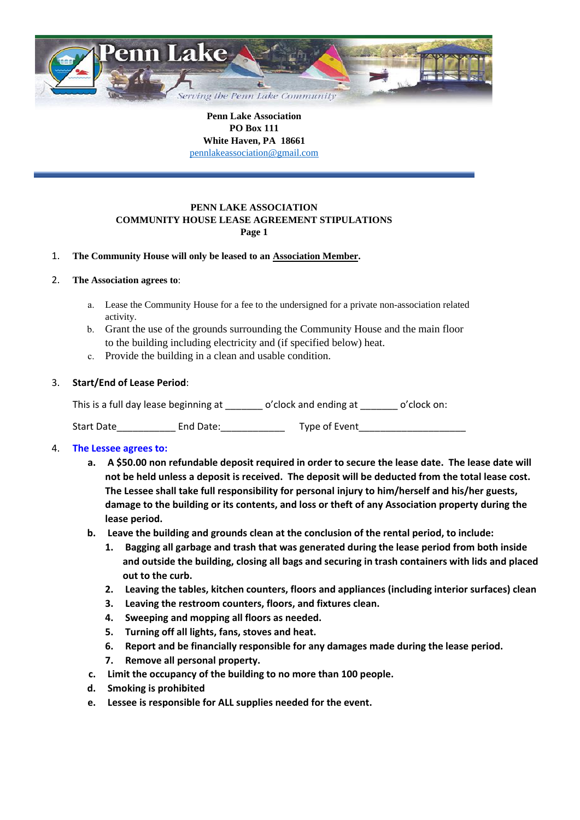

**Penn Lake Association PO Box 111 White Haven, PA 18661** pennlakeassociation@gmail.com

#### **PENN LAKE ASSOCIATION COMMUNITY HOUSE LEASE AGREEMENT STIPULATIONS Page 1**

## 1. **The Community House will only be leased to an Association Member.**

#### 2. **The Association agrees to**:

- a. Lease the Community House for a fee to the undersigned for a private non-association related activity.
- b. Grant the use of the grounds surrounding the Community House and the main floor to the building including electricity and (if specified below) heat.
- c. Provide the building in a clean and usable condition.

## 3. **Start/End of Lease Period**:

This is a full day lease beginning at \_\_\_\_\_\_\_ o'clock and ending at \_\_\_\_\_\_ o'clock on:

Start Date\_\_\_\_\_\_\_\_\_\_\_ End Date:\_\_\_\_\_\_\_\_\_\_\_\_ Type of Event\_\_\_\_\_\_\_\_\_\_\_\_\_\_\_\_\_\_\_\_

## 4. **The Lessee agrees to:**

- **a. A \$50.00 non refundable deposit required in order to secure the lease date. The lease date will not be held unless a deposit is received. The deposit will be deducted from the total lease cost. The Lessee shall take full responsibility for personal injury to him/herself and his/her guests, damage to the building or its contents, and loss or theft of any Association property during the lease period.**
- **b. Leave the building and grounds clean at the conclusion of the rental period, to include:**
	- **1. Bagging all garbage and trash that was generated during the lease period from both inside and outside the building, closing all bags and securing in trash containers with lids and placed out to the curb.**
	- **2. Leaving the tables, kitchen counters, floors and appliances (including interior surfaces) clean**
	- **3. Leaving the restroom counters, floors, and fixtures clean.**
	- **4. Sweeping and mopping all floors as needed.**
	- **5. Turning off all lights, fans, stoves and heat.**
	- **6. Report and be financially responsible for any damages made during the lease period.**
	- **7. Remove all personal property.**
- **c. Limit the occupancy of the building to no more than 100 people.**
- **d. Smoking is prohibited**
- **e. Lessee is responsible for ALL supplies needed for the event.**